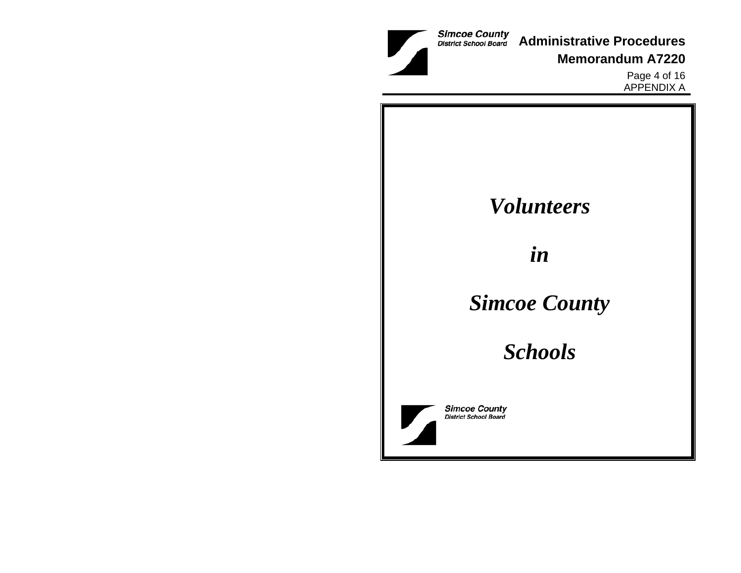**Administrative Procedures**

**Memorandum A7220**

Page 4 of 16 APPENDIX A

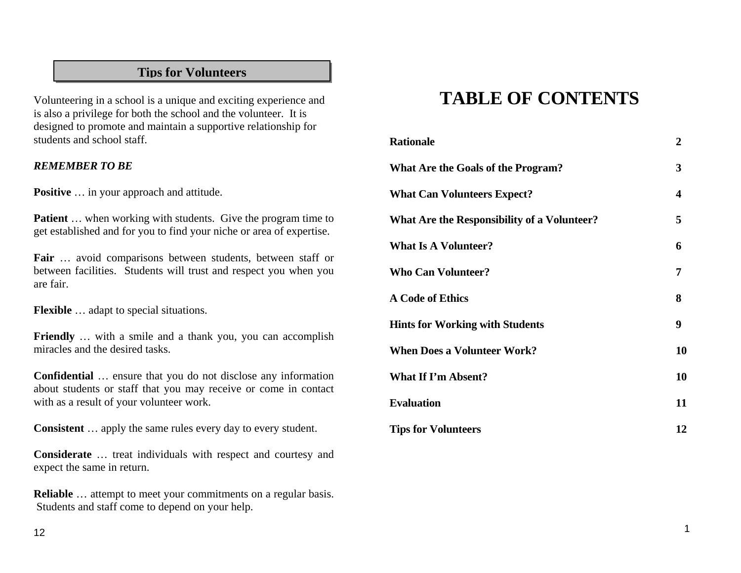# **Tips for Volunteers**

Volunteering in a school is a unique and exciting experience and is also a privilege for both the school and the volunteer. It is designed to promote and maintain a supportive relationship for students and school staff.

#### *REMEMBER TO BE*

**Positive** … in your approach and attitude.

**Patient** ... when working with students. Give the program time to get established and for you to find your niche or area of expertise.

**Fair** … avoid comparisons between students, between staff or between facilities. Students will trust and respect you when you are fair.

**Flexible** … adapt to special situations.

**Friendly** … with a smile and a thank you, you can accomplish miracles and the desired tasks.

**Confidential** … ensure that you do not disclose any information about students or staff that you may receive or come in contact with as a result of your volunteer work.

**Consistent** … apply the same rules every day to every student.

**Considerate** … treat individuals with respect and courtesy and expect the same in return.

**Reliable** … attempt to meet your commitments on a regular basis. Students and staff come to depend on your help.

# **TABLE OF CONTENTS**

| <b>Rationale</b>                                   | $\boldsymbol{2}$ |
|----------------------------------------------------|------------------|
| What Are the Goals of the Program?                 | 3                |
| <b>What Can Volunteers Expect?</b>                 | 4                |
| <b>What Are the Responsibility of a Volunteer?</b> | 5                |
| <b>What Is A Volunteer?</b>                        | 6                |
| <b>Who Can Volunteer?</b>                          | 7                |
| <b>A Code of Ethics</b>                            | 8                |
| <b>Hints for Working with Students</b>             | 9                |
| <b>When Does a Volunteer Work?</b>                 | 10               |
| <b>What If I'm Absent?</b>                         | 10               |
| <b>Evaluation</b>                                  | 11               |
| <b>Tips for Volunteers</b>                         | 12               |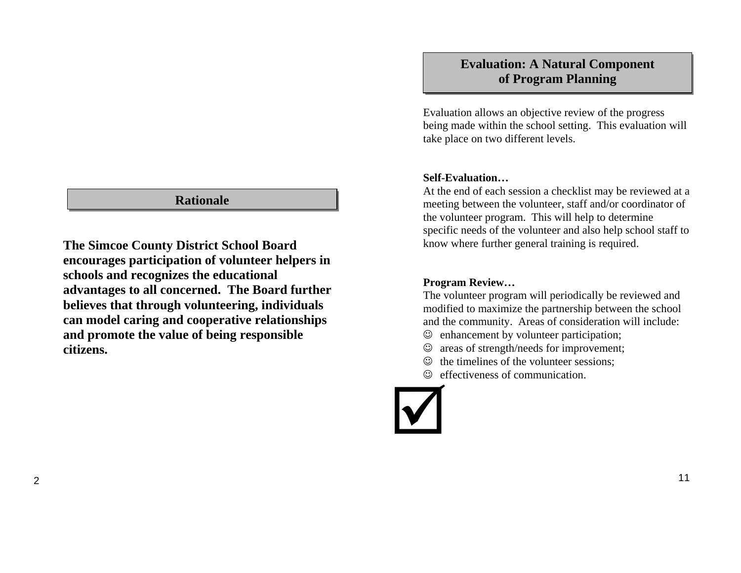#### **Rationale**

**The Simcoe County District School Board encourages participation of volunteer helpers in schools and recognizes the educational advantages to all concerned. The Board further believes that through volunteering, individuals can model caring and cooperative relationships and promote the value of being responsible citizens.** 

# **Evaluation: A Natural Component of Program Planning**

Evaluation allows an objective review of the progress being made within the school setting. This evaluation will take place on two different levels.

#### **Self-Evaluation…**

At the end of each session a checklist may be reviewed at a meeting between the volunteer, staff and/or coordinator of the volunteer program. This will help to determine specific needs of the volunteer and also help school staff to know where further general training is required.

#### **Program Review…**

The volunteer program will periodically be reviewed and modified to maximize the partnership between the school and the community. Areas of consideration will include:

- ☺ enhancement by volunteer participation;
- ☺ areas of strength/needs for improvement;
- ☺ the timelines of the volunteer sessions;
- ☺ effectiveness of communication.

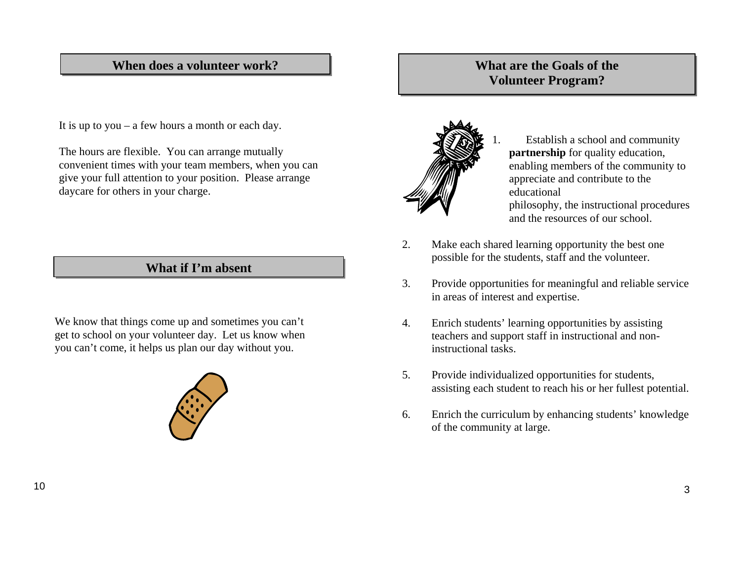#### **When does a volunteer work?**

It is up to you – a few hours a month or each day.

The hours are flexible. You can arrange mutually convenient times with your team members, when you can give your full attention to your position. Please arrange daycare for others in your charge.

We know that things come up and sometimes you can't get to school on your volunteer day. Let us know when you can't come, it helps us plan our day without you.



## **What are the Goals of the Volunteer Program?**



 Establish a school and community **partnership** for quality education, enabling members of the community to appreciate and contribute to the educational philosophy, the instructional procedures and the resources of our school.

2. Make each shared learning opportunity the best one possible for the students, staff and the volunteer. **What if I'm absent**

1.

- 3. Provide opportunities for meaningful and reliable service in areas of interest and expertise.
- 4. Enrich students' learning opportunities by assisting teachers and support staff in instructional and noninstructional tasks.
- 5. Provide individualized opportunities for students, assisting each student to reach his or her fullest potential.
- 6. Enrich the curriculum by enhancing students' knowledge of the community at large.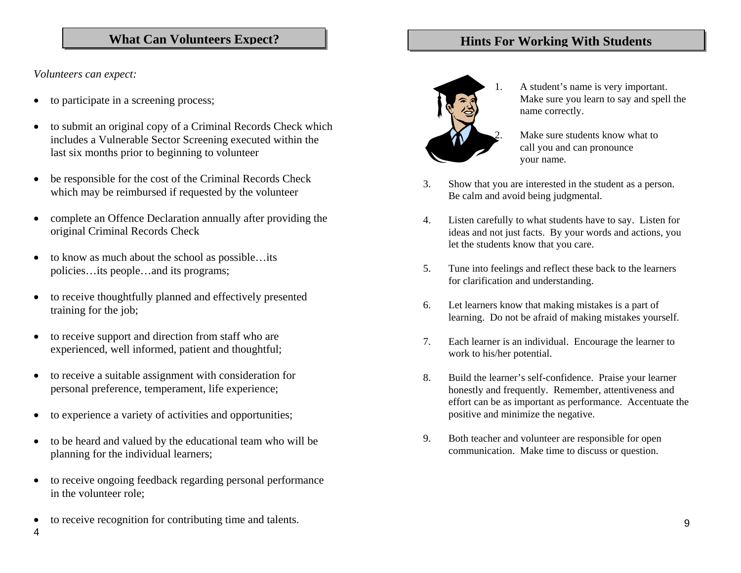#### What Can Volunteers Expect? **Hints For Working With Students**

*Volunteers can expect:* 

- •to participate in a screening process;
- • to submit an original copy of a Criminal Records Check which includes a Vulnerable Sector Screening executed within the last six months prior to beginning to volunteer
- • be responsible for the cost of the Criminal Records Check which may be reimbursed if requested by the volunteer
- • complete an Offence Declaration annually after providing the original Criminal Records Check
- • to know as much about the school as possible…its policies…its people…and its programs;
- • to receive thoughtfully planned and effectively presented training for the job;
- • to receive support and direction from staff who are experienced, well informed, patient and thoughtful;
- • to receive a suitable assignment with consideration for personal preference, temperament, life experience;
- •to experience a variety of activities and opportunities;
- • to be heard and valued by the educational team who will be planning for the individual learners;
- • to receive ongoing feedback regarding personal performance in the volunteer role;
- •to receive recognition for contributing time and talents.



- - 1. A student's name is very important. Make sure you learn to say and spell the name correctly.

Make sure students know what to call you and can pronounce your name.

- 3. Show that you are interested in the student as a person. Be calm and avoid being judgmental.
- 4. Listen carefully to what students have to say. Listen for ideas and not just facts. By your words and actions, you let the students know that you care.
- 5. Tune into feelings and reflect these back to the learners for clarification and understanding.
- 6. Let learners know that making mistakes is a part of learning. Do not be afraid of making mistakes yourself.
- 7. Each learner is an individual. Encourage the learner to work to his/her potential.
- 8. Build the learner's self-confidence. Praise your learner honestly and frequently. Remember, attentiveness and effort can be as important as performance. Accentuate the positive and minimize the negative.
- 9. Both teacher and volunteer are responsible for open communication. Make time to discuss or question.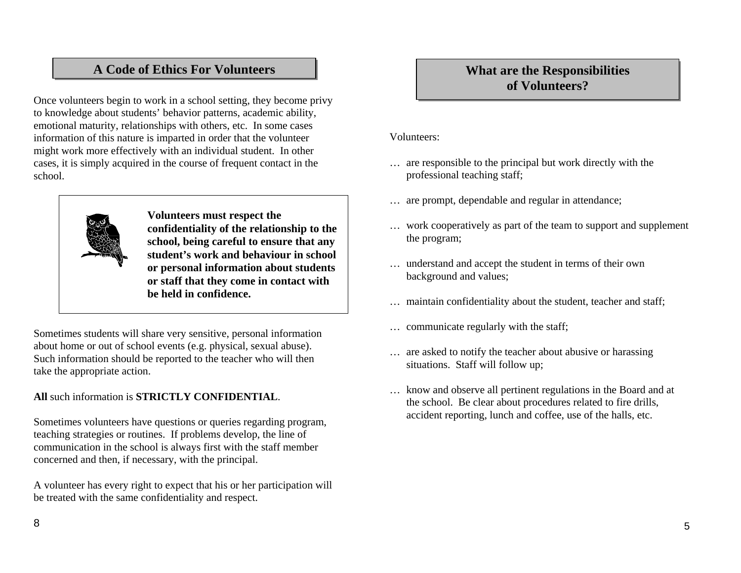# **A Code of Ethics For Volunteers**

Once volunteers begin to work in a school setting, they become privy to knowledge about students' behavior patterns, academic ability, emotional maturity, relationships with others, etc. In some cases information of this nature is imparted in order that the volunteer might work more effectively with an individual student. In other cases, it is simply acquired in the course of frequent contact in the school.



**Volunteers must respect the confidentiality of the relationship to the school, being careful to ensure that any student's work and behaviour in school or personal information about students or staff that they come in contact with be held in confidence.** 

Sometimes students will share very sensitive, personal information about home or out of school events (e.g. physical, sexual abuse). Such information should be reported to the teacher who will then take the appropriate action.

**All** such information is **STRICTLY CONFIDENTIAL**.

Sometimes volunteers have questions or queries regarding program, teaching strategies or routines. If problems develop, the line of communication in the school is always first with the staff member concerned and then, if necessary, with the principal.

A volunteer has every right to expect that his or her participation will be treated with the same confidentiality and respect.

# **What are the Responsibilities of Volunteers?**

#### Volunteers:

- … are responsible to the principal but work directly with the professional teaching staff;
- … are prompt, dependable and regular in attendance;
- … work cooperatively as part of the team to support and supplement the program;
- … understand and accept the student in terms of their own background and values;
- … maintain confidentiality about the student, teacher and staff;
- … communicate regularly with the staff;
- … are asked to notify the teacher about abusive or harassing situations. Staff will follow up;
- … know and observe all pertinent regulations in the Board and at the school. Be clear about procedures related to fire drills, accident reporting, lunch and coffee, use of the halls, etc.